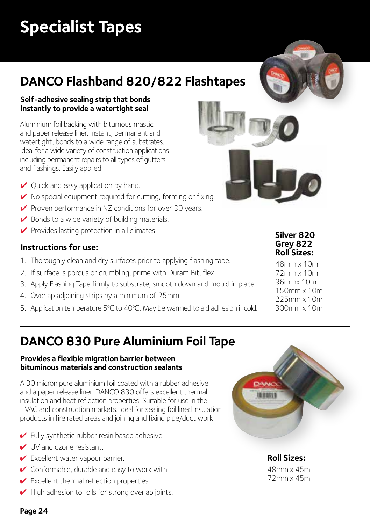# **Specialist Tapes**

# **DANCO Flashband 820/822 Flashtapes**

#### **Self-adhesive sealing strip that bonds instantly to provide a watertight seal**

Aluminium foil backing with bitumous mastic and paper release liner. Instant, permanent and watertight, bonds to a wide range of substrates. Ideal for a wide variety of construction applications including permanent repairs to all types of gutters and flashings. Easily applied.

- ✔ Quick and easy application by hand.
- ◆ No special equipment required for cutting, forming or fixing.
- ◆ Proven performance in NZ conditions for over 30 years.
- $\vee$  Bonds to a wide variety of building materials.
- $\vee$  Provides lasting protection in all climates.

#### **Instructions for use:**

- 1. Thoroughly clean and dry surfaces prior to applying flashing tape.
- 2. If surface is porous or crumbling, prime with Duram Bituflex.
- 3. Apply Flashing Tape firmly to substrate, smooth down and mould in place.
- 4. Overlap adjoining strips by a minimum of 25mm.
- 5. Application temperature 5°C to 40°C. May be warmed to aid adhesion if cold.



48mm x 10m 72mm x 10m 96mmx 10m 150mm x 10m 225mm x 10m 300mm x 10m

## **DANCO 830 Pure Aluminium Foil Tape**

#### **Provides a flexible migration barrier between bituminous materials and construction sealants**

A 30 micron pure aluminium foil coated with a rubber adhesive and a paper release liner. DANCO 830 offers excellent thermal insulation and heat reflection properties. Suitable for use in the HVAC and construction markets. Ideal for sealing foil lined insulation products in fire rated areas and joining and fixing pipe/duct work.

- $\blacktriangleright$  Fully synthetic rubber resin based adhesive.
- ✔ UV and ozone resistant.
- ✔ Excellent water vapour barrier.
- ✔ Conformable, durable and easy to work with.
- $\checkmark$  Excellent thermal reflection properties.
- $\blacktriangleright$  High adhesion to foils for strong overlap joints.



**Roll Sizes:** 48mm x 45m 72mm x 45m